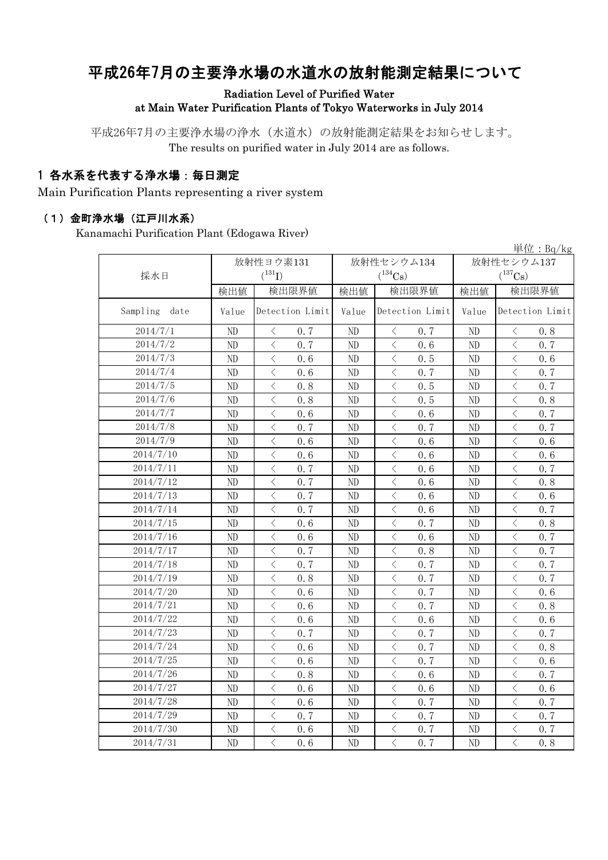# 平成26年7月の主要浄水場の水道水の放射能測定結果について

#### Radiation Level of Purified Water at Main Water Purification Plants of Tokyo Waterworks in July 2014

平成26年7月の主要浄水場の浄水(水道水)の放射能測定結果をお知らせします。 The results on purified water in July 2014 are as follows.

### 1 各水系を代表する浄水場:毎日測定

Main Purification Plants representing a river system

#### (1)金町浄水場(江戸川水系)

Kanamachi Purification Plant (Edogawa River)

|                  |       |                                                                                                                                                                      |       |                       |              | 単位: $Bq/kg$                                      |  |
|------------------|-------|----------------------------------------------------------------------------------------------------------------------------------------------------------------------|-------|-----------------------|--------------|--------------------------------------------------|--|
|                  |       | 放射性ヨウ素131                                                                                                                                                            |       | 放射性セシウム134            |              | 放射性セシウム137                                       |  |
| 採水日              |       | $(^{131}I)$                                                                                                                                                          |       | $(^{134}\mathrm{Cs})$ | $(^{137}Cs)$ |                                                  |  |
|                  | 検出値   | 検出限界値                                                                                                                                                                | 検出値   | 検出限界値                 | 検出値          | 検出限界値                                            |  |
| Sampling<br>date | Value | Detection Limit                                                                                                                                                      | Value | Detection Limit       | Value        | Detection Limit                                  |  |
| 2014/7/1         | ND    | 0.7<br>$\lt$                                                                                                                                                         | ND    | $\, \leq$<br>0.7      | ND           | $\langle$<br>0.8                                 |  |
| 2014/7/2         | ND    | $\langle$<br>0.7                                                                                                                                                     | ND    | $\langle$<br>0.6      | ND           | $\langle$<br>0.7                                 |  |
| 2014/7/3         | ND    | $\lt$<br>0.6                                                                                                                                                         | ND    | $\lt$<br>0.5          | ND           | $\lt$<br>0.6                                     |  |
| 2014/7/4         | ND    | $\lt$<br>0.6                                                                                                                                                         | ND    | $\lt$<br>0.7          | ND           | $\lt$<br>0.7                                     |  |
| 2014/7/5         | ND    | $\lt$<br>0.8                                                                                                                                                         | ND    | $\, < \,$<br>0.5      | ND           | $\langle$<br>0.7                                 |  |
| 2014/7/6         | ND    | $\langle$<br>0.8                                                                                                                                                     | ND    | $\,<\,$<br>0.5        | ND           | $\langle$<br>0.8                                 |  |
| 2014/7/7         | ND    | $\langle$<br>0.6                                                                                                                                                     | ND    | $\lt$<br>0.6          | ND           | $\langle$<br>0.7                                 |  |
| 2014/7/8         | ND    | $\lt$<br>0.7                                                                                                                                                         | ND    | $\,<\,$<br>0.7        | ND           | $\langle$<br>0, 7                                |  |
| 2014/7/9         | ND    | $\lt$<br>0.6                                                                                                                                                         | ND    | $\lt$<br>0.6          | ND           | $\langle$<br>0.6                                 |  |
| 2014/7/10        | ND    | $\lt$<br>0.6                                                                                                                                                         | ND    | $\,<\,$<br>0.6        | ND           | $\langle$<br>0.6                                 |  |
| 2014/7/11        | ND    | $\langle$<br>0.7                                                                                                                                                     | ND    | $\lt$<br>0.6          | $\rm ND$     | $\langle$<br>0.7                                 |  |
| 2014/7/12        | ND    | $\lt$<br>0.7                                                                                                                                                         | ND    | $\,<\,$<br>0.6        | ND           | $\langle$<br>0.8                                 |  |
| 2014/7/13        | ND    | $\lt$<br>0.7                                                                                                                                                         | ND    | $\langle$<br>0.6      | ND           | $\langle$<br>0.6                                 |  |
| 2014/7/14        | ND    | $\langle$<br>0.7                                                                                                                                                     | ND    | $\,$ $\,$ $\,$<br>0.6 | ND           | $\overline{\left\langle \right\rangle }$<br>0.7  |  |
| 2014/7/15        | ND    | $\overline{\left\langle \right\rangle }$<br>0.6                                                                                                                      | ND    | $\lt$<br>0.7          | ND           | $\langle$<br>0.8                                 |  |
| 2014/7/16        | ND    | $\overline{\left\langle \right\rangle }$<br>0.6                                                                                                                      | ND    | $\,<\,$<br>0.6        | ND           | $\langle$<br>0.7                                 |  |
| 2014/7/17        | ND    | $\overline{\left\langle \right\rangle }$<br>0.7                                                                                                                      | ND    | $\,<\,$<br>0.8        | ND           | $\overline{\left\langle \right\rangle }$<br>0, 7 |  |
| 2014/7/18        | ND    | $\overline{\left\langle \right\rangle }$<br>0.7                                                                                                                      | ND    | $\,<\,$<br>0.7        | ND           | $\langle$<br>0.7                                 |  |
| 2014/7/19        | ND    | $\overline{\left\langle \right\rangle }$<br>0.8                                                                                                                      | ND    | $\langle$<br>0.7      | ND           | $\overline{\left\langle \right\rangle }$<br>0, 7 |  |
| 2014/7/20        | ND    | $\overline{\left\langle \right\rangle }$<br>0.6                                                                                                                      | ND    | $\,$ $\,$ $\,$<br>0.7 | ND           | $\overline{\left\langle \right\rangle }$<br>0.6  |  |
| 2014/7/21        | ND    | $\overline{\left\langle \right\rangle }$<br>0.6                                                                                                                      | ND    | $\,<\,$<br>0.7        | ND           | $\langle$<br>0.8                                 |  |
| 2014/7/22        | ND    | $\langle$<br>0.6                                                                                                                                                     | ND    | $\langle$<br>0.6      | ND           | $\overline{\left\langle \right\rangle }$<br>0.6  |  |
| 2014/7/23        | ND    | $\lt$<br>0.7                                                                                                                                                         | ND    | $\,<\,$<br>0.7        | ND           | $\langle$<br>0.7                                 |  |
| 2014/7/24        | ND    | $\lt$<br>0.6                                                                                                                                                         | ND    | 0.7<br>$\lt$          | ND           | $\langle$<br>0.8                                 |  |
| 2014/7/25        | ND    | $\langle$<br>0, 6                                                                                                                                                    | ND    | $\,<\,$<br>0, 7       | ND           | $\langle$<br>0.6                                 |  |
| 2014/7/26        | ND    | $\,$ $\,$ $\,$<br>0.8                                                                                                                                                | ND    | $\,$ $\,$ $\,$<br>0.6 | ND           | $\langle$<br>0.7                                 |  |
| 2014/7/27        | ND    | $\langle$<br>0, 6                                                                                                                                                    | ND    | $\langle$<br>0.6      | ND           | $\overline{\left\langle \right\rangle }$<br>0, 6 |  |
| 2014/7/28        | ND    | $\,$ $\,$ $\,$<br>0.6                                                                                                                                                | ND    | $\,$ $\,$ $\,$<br>0.7 | ND           | $\,$ $\,$ $\,$<br>0.7                            |  |
| 2014/7/29        | ND    | $\lt$<br>0.7                                                                                                                                                         | ND    | $\lt$<br>0, 7         | ND           | $\overline{\left\langle \right\rangle }$<br>0, 7 |  |
| 2014/7/30        | ND    | $\overline{\left\langle \right. }% ,\left\langle \overline{\left\langle \right. }% ,\left\langle \overline{\left\langle \right\rangle }\right\rangle \right.$<br>0.6 | ND    | $\,<\,$<br>0.7        | ND           | $\langle$<br>0.7                                 |  |
| 2014/7/31        | ND    | $\overline{\left\langle \right\rangle }$<br>0.6                                                                                                                      | ND    | $\langle$<br>0.7      | ND           | $\overline{\left\langle \right\rangle }$<br>0.8  |  |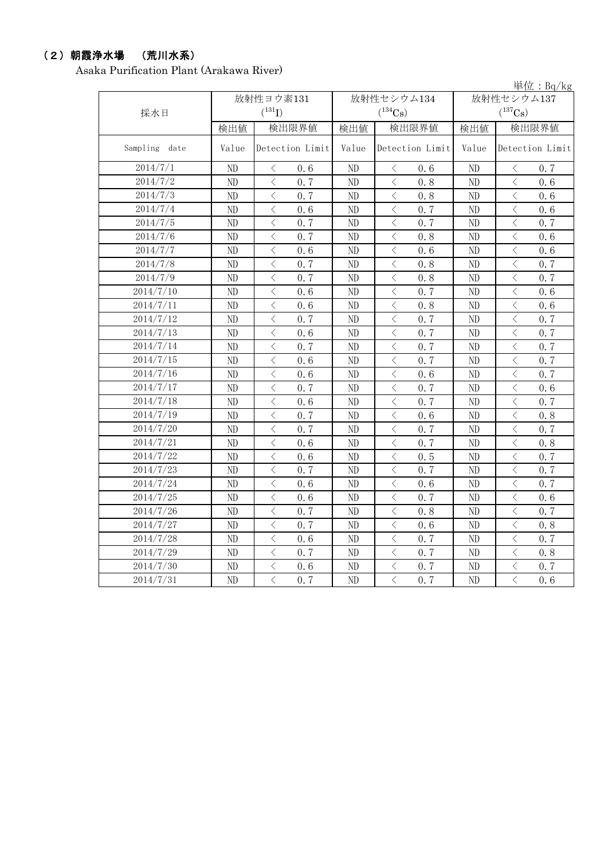### (2)朝霞浄水場 (荒川水系)

Asaka Purification Plant (Arakawa River)

|               |       |                                                 |          |                                                  |       | 単位: $Bq/kg$                                                                                                                                                                         |
|---------------|-------|-------------------------------------------------|----------|--------------------------------------------------|-------|-------------------------------------------------------------------------------------------------------------------------------------------------------------------------------------|
|               |       | 放射性ヨウ素131                                       |          | 放射性セシウム134                                       |       | 放射性セシウム137                                                                                                                                                                          |
| 採水日           |       | $(^{131}I)$                                     |          | $(^{134}Cs)$                                     |       | $(^{137}Cs)$                                                                                                                                                                        |
|               | 検出値   | 検出限界値                                           | 検出値      | 検出限界値                                            | 検出値   | 検出限界値                                                                                                                                                                               |
| Sampling date | Value | Detection Limit                                 | Value    | Detection Limit                                  | Value | Detection Limit                                                                                                                                                                     |
| 2014/7/1      | ND    | $\langle$<br>0.6                                | ND       | $\,$ $\,$ $\,$<br>0.6                            | ND    | 0, 7<br>$\langle$                                                                                                                                                                   |
| 2014/7/2      | ND    | $\langle$<br>0.7                                | $\rm ND$ | $\langle$<br>0.8                                 | ND    | $\langle$<br>0.6                                                                                                                                                                    |
| 2014/7/3      | ND    | $\lt$<br>0.7                                    | ND       | $\lt$<br>0.8                                     | ND    | $\langle$<br>0.6                                                                                                                                                                    |
| 2014/7/4      | ND    | $\,$ $\,$ $\,$<br>0.6                           | ND       | $\lt$<br>0.7                                     | ND    | $\lt$<br>0.6                                                                                                                                                                        |
| 2014/7/5      | ND    | $\langle$<br>0.7                                | ND       | $\lt$<br>0.7                                     | ND    | $\langle$<br>0.7                                                                                                                                                                    |
| 2014/7/6      | ND    | $\,$ $\,$ $\,$<br>0.7                           | ND       | $\langle$<br>0.8                                 | ND    | $\langle$<br>0.6                                                                                                                                                                    |
| 2014/7/7      | ND    | $\overline{\left\langle \right\rangle }$<br>0.6 | ND       | $\lt$<br>0.6                                     | ND    | $\lt$<br>0.6                                                                                                                                                                        |
| 2014/7/8      | ND    | $\overline{\left\langle \right\rangle }$<br>0.7 | ND       | $\langle$<br>0.8                                 | ND    | $\overline{\left\langle \right\rangle }$<br>0.7                                                                                                                                     |
| 2014/7/9      | ND    | $\lt$<br>0.7                                    | ND       | $\lt$<br>0.8                                     | ND    | $\lt$<br>0.7                                                                                                                                                                        |
| 2014/7/10     | ND    | $\overline{\left\langle \right\rangle }$<br>0.6 | ND       | $\overline{\left\langle \right\rangle }$<br>0.7  | ND    | $\overline{\left\langle \right\rangle }$<br>0.6                                                                                                                                     |
| 2014/7/11     | ND    | $\lt$<br>0.6                                    | ND       | $\overline{\left\langle \right\rangle }$<br>0.8  | ND    | $\overline{\left\langle \right\rangle }$<br>0.6                                                                                                                                     |
| 2014/7/12     | ND    | $\langle$<br>0.7                                | ND       | $\langle$<br>0.7                                 | ND    | $\overline{\left\langle \right\rangle }$<br>0.7                                                                                                                                     |
| 2014/7/13     | ND    | $\,$ $\,$ $\,$<br>0.6                           | ND       | $\overline{\left\langle \right\rangle }$<br>0.7  | ND    | $\overline{\left\langle \right\rangle }$<br>0, 7                                                                                                                                    |
| 2014/7/14     | ND    | $\,$ $\,$ $\,$<br>0.7                           | ND       | $\lt$<br>0.7                                     | ND    | $\langle$<br>0.7                                                                                                                                                                    |
| 2014/7/15     | ND    | $\lt$<br>0.6                                    | ND       | $\overline{\left\langle \right\rangle }$<br>0, 7 | ND    | $\overline{\left\langle \right\rangle }$<br>0, 7                                                                                                                                    |
| 2014/7/16     | ND    | $\langle$<br>0.6                                | ND       | $\lt$<br>0.6                                     | ND    | $\overline{\left\langle \right\rangle }$<br>0, 7                                                                                                                                    |
| 2014/7/17     | ND    | $\langle$<br>0.7                                | ND       | $\langle$<br>0.7                                 | ND    | $\overline{\left\langle \right\rangle }$<br>0.6                                                                                                                                     |
| 2014/7/18     | ND    | $\overline{\left\langle \right\rangle }$<br>0.6 | ND       | $\langle$<br>0.7                                 | ND    | $\overline{\left\langle \right\rangle }$<br>0.7                                                                                                                                     |
| 2014/7/19     | ND    | $\overline{\left\langle \right\rangle }$<br>0.7 | ND       | $\,$ $\,$ $\,$<br>0.6                            | ND    | $\overline{\left\langle \right\rangle }$<br>0.8                                                                                                                                     |
| 2014/7/20     | ND    | $\,$ $\,$ $\,$<br>0.7                           | ND       | $\,$ $\,$ $\,$<br>0.7                            | ND    | $\langle$<br>0.7                                                                                                                                                                    |
| 2014/7/21     | ND    | $\,$ $\,$ $\,$<br>0.6                           | ND       | $\lt$<br>0.7                                     | ND    | $\langle$<br>0.8                                                                                                                                                                    |
| 2014/7/22     | ND    | $\langle$<br>0.6                                | ND       | $\langle$<br>0.5                                 | ND    | $\langle$<br>0, 7                                                                                                                                                                   |
| 2014/7/23     | ND    | $\,$ $\,$ $\,$<br>0.7                           | ND       | $\,$ $\,$ $\,$<br>0.7                            | ND    | $\lt$<br>0.7                                                                                                                                                                        |
| 2014/7/24     | ND    | $\lt$<br>0.6                                    | ND       | $\lt$<br>0.6                                     | ND    | $\langle$<br>0.7                                                                                                                                                                    |
| 2014/7/25     | ND    | $\langle$<br>0.6                                | ND       | $\lt$<br>0, 7                                    | ND    | $\langle$<br>0.6                                                                                                                                                                    |
| 2014/7/26     | ND    | $\langle$<br>0.7                                | ND       | $\langle$<br>0.8                                 | ND    | $\langle$<br>0, 7                                                                                                                                                                   |
| 2014/7/27     | ND    | $\overline{\left\langle \right\rangle }$<br>0.7 | ND       | $\overline{\left\langle \right\rangle }$<br>0.6  | ND    | $\langle$<br>0.8                                                                                                                                                                    |
| 2014/7/28     | ND    | $\langle$<br>0, 6                               | ND       | $\langle$<br>0, 7                                | ND    | $\langle$<br>0, 7                                                                                                                                                                   |
| 2014/7/29     | ND    | $\,$ $\,$ $\,$<br>0.7                           | ND       | $\lt$<br>0.7                                     | ND    | $\,$ $\,$ $\,$<br>0.8                                                                                                                                                               |
| 2014/7/30     | ND    | $\overline{\left\langle \right\rangle }$<br>0.6 | ND       | $\overline{\left\langle \right\rangle }$<br>0.7  | ND    | $\overline{\left\langle \right. }% ,\left\langle \overline{\left\langle \right. }% ,\left\langle \overline{\left\langle \right. }\right\rangle \right\rangle \left. \right.$<br>0.7 |
| 2014/7/31     | ND    | $\overline{\langle}$<br>0.7                     | ND       | $\overline{\langle}$<br>0.7                      | ND    | $\overline{\langle}$<br>0.6                                                                                                                                                         |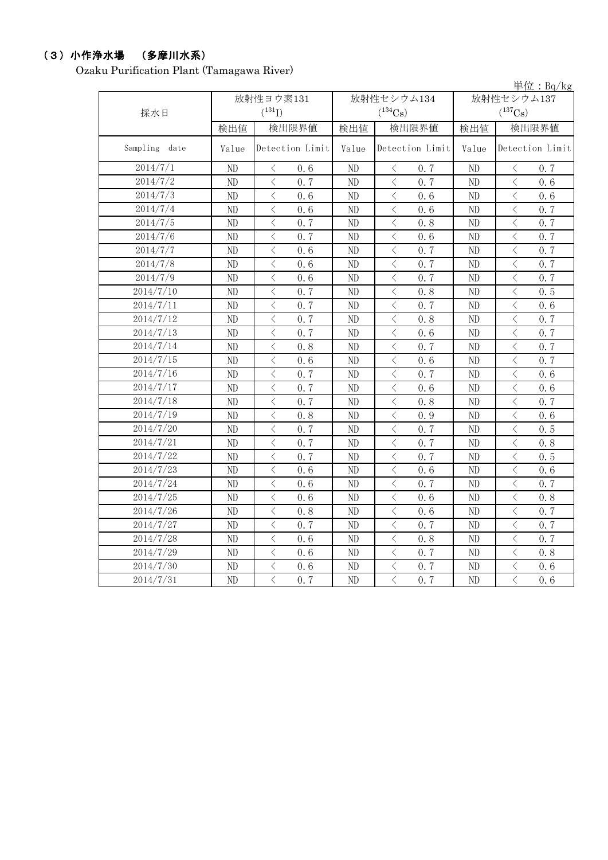## (3)小作浄水場 (多摩川水系)

Ozaku Purification Plant (Tamagawa River)

|               |       |                                                 |          |                                                 |            | 単位: $Bq/kg$                                      |  |
|---------------|-------|-------------------------------------------------|----------|-------------------------------------------------|------------|--------------------------------------------------|--|
|               |       | 放射性ヨウ素131                                       |          | 放射性セシウム134                                      | 放射性セシウム137 |                                                  |  |
| 採水日           |       | $(^{131}I)$                                     |          | $(^{134}\mathrm{Cs})$                           |            | $(^{137}Cs)$                                     |  |
|               | 検出値   | 検出限界値                                           | 検出値      | 検出限界値                                           | 検出値        | 検出限界値                                            |  |
| Sampling date | Value | Detection Limit                                 | Value    | Detection Limit                                 | Value      | Detection Limit                                  |  |
| 2014/7/1      | ND    | $\langle$<br>0.6                                | ND       | 0.7<br>$\lt$                                    | ND         | $\lt$<br>0, 7                                    |  |
| 2014/7/2      | ND    | $\lt$<br>0.7                                    | $\rm ND$ | $\langle$<br>0.7                                | ND         | $\lt$<br>0.6                                     |  |
| 2014/7/3      | ND    | $\lt$<br>0.6                                    | ND       | $\,<\,$<br>0.6                                  | ND         | $\langle$<br>0.6                                 |  |
| 2014/7/4      | ND    | $\langle$<br>0.6                                | ND       | $\langle$<br>0.6                                | ND         | $\langle$<br>0.7                                 |  |
| 2014/7/5      | ND    | $\langle$<br>0.7                                | ND       | $\lt$<br>0.8                                    | ND         | $\langle$<br>0.7                                 |  |
| 2014/7/6      | ND    | $\lt$<br>0.7                                    | ND       | $\lt$<br>0.6                                    | ND         | $\langle$<br>0.7                                 |  |
| 2014/7/7      | ND    | $\langle$<br>0.6                                | ND       | $\,<\,$<br>0.7                                  | ND         | $\langle$<br>0.7                                 |  |
| 2014/7/8      | ND    | $\overline{\left\langle \right\rangle }$<br>0.6 | ND       | $\, < \,$<br>0.7                                | ND         | $\langle$<br>0.7                                 |  |
| 2014/7/9      | ND    | $\langle$<br>0.6                                | ND       | $\,$ $\,$ $\,$<br>0.7                           | ND         | $\langle$<br>0.7                                 |  |
| 2014/7/10     | ND    | $\lt$<br>0.7                                    | ND       | $\lt$<br>0.8                                    | ND         | $\lt$<br>0.5                                     |  |
| 2014/7/11     | ND    | $\langle$<br>0.7                                | ND       | $\,<\,$<br>0.7                                  | ND         | $\langle$<br>0.6                                 |  |
| 2014/7/12     | ND    | $\lt$<br>0.7                                    | ND       | $\lt$<br>0.8                                    | ND         | $\langle$<br>0.7                                 |  |
| 2014/7/13     | ND    | $\langle$<br>0.7                                | ND       | $\lt$<br>0.6                                    | ND         | $\langle$<br>0, 7                                |  |
| 2014/7/14     | ND    | $\overline{\left\langle \right\rangle }$<br>0.8 | ND       | $\langle$<br>0.7                                | ND         | $\overline{\left\langle \right\rangle }$<br>0, 7 |  |
| 2014/7/15     | ND    | $\overline{\left\langle \right\rangle }$<br>0.6 | ND       | $\,$ $\,$ $\,$<br>0.6                           | ND         | $\overline{\left\langle \right\rangle }$<br>0.7  |  |
| 2014/7/16     | ND    | $\overline{\left\langle \right\rangle }$<br>0.7 | ND       | $\langle$<br>0.7                                | ND         | $\overline{\left\langle \right\rangle }$<br>0.6  |  |
| 2014/7/17     | ND    | $\langle$<br>0.7                                | ND       | $\,$ $\,$ $\,$<br>0.6                           | ND         | $\overline{\left\langle \right\rangle }$<br>0.6  |  |
| 2014/7/18     | ND    | $\langle$<br>0.7                                | ND       | $\,<\,$<br>0.8                                  | ND         | $\overline{\left\langle \right\rangle }$<br>0, 7 |  |
| 2014/7/19     | ND    | $\langle$<br>0.8                                | ND       | $\,<\,$<br>0.9                                  | ND         | $\overline{\left\langle \right\rangle }$<br>0, 6 |  |
| 2014/7/20     | ND    | $\langle$<br>0.7                                | ND       | $\bigl\langle$<br>0.7                           | ND         | $\overline{\left\langle \right\rangle }$<br>0.5  |  |
| 2014/7/21     | ND    | $\overline{\left\langle \right\rangle }$<br>0.7 | ND       | $\langle$<br>0.7                                | ND         | $\overline{\left\langle \right\rangle }$<br>0.8  |  |
| 2014/7/22     | ND    | $\overline{\left\langle \right\rangle }$<br>0.7 | ND       | $\,$ $\,$ $\,$<br>0.7                           | ND         | $\overline{\left\langle \right\rangle }$<br>0.5  |  |
| 2014/7/23     | ND    | $\overline{\left\langle \right\rangle }$<br>0.6 | ND       | $\,$ $\,$ $\,$<br>0.6                           | ND         | $\overline{\left\langle \right\rangle }$<br>0.6  |  |
| 2014/7/24     | ND    | $\langle$<br>0.6                                | ND       | $\overline{\left\langle \right\rangle }$<br>0.7 | ND         | $\overline{\left\langle \right\rangle }$<br>0.7  |  |
| 2014/7/25     | ND    | $\langle$<br>0.6                                | ND       | $\langle$<br>0.6                                | ND         | $\langle$<br>0.8                                 |  |
| 2014/7/26     | ND    | $\langle$<br>0.8                                | ND       | $\,<\,$<br>0.6                                  | ND         | $\langle$<br>0.7                                 |  |
| 2014/7/27     | ND    | $\lt$<br>0.7                                    | ND       | $\langle$<br>0.7                                | ND         | $\lt$<br>0.7                                     |  |
| 2014/7/28     | ND    | $\langle$<br>0.6                                | ND       | $\,<\,$<br>0.8                                  | ND         | $\langle$<br>0, 7                                |  |
| 2014/7/29     | ND    | $\overline{\left\langle \right\rangle }$<br>0.6 | ND       | $\overline{\left\langle \right\rangle }$<br>0.7 | ND         | $\overline{\left\langle \right\rangle }$<br>0.8  |  |
| 2014/7/30     | ND    | $\, \zeta \,$<br>0.6                            | ND       | $\,<\,$<br>0.7                                  | ND         | $\langle$<br>0.6                                 |  |
| 2014/7/31     | ND    | $\overline{\langle}$<br>0.7                     | ND       | $\overline{\langle}$<br>0.7                     | ND         | $\overline{\left\langle \right\rangle }$<br>0.6  |  |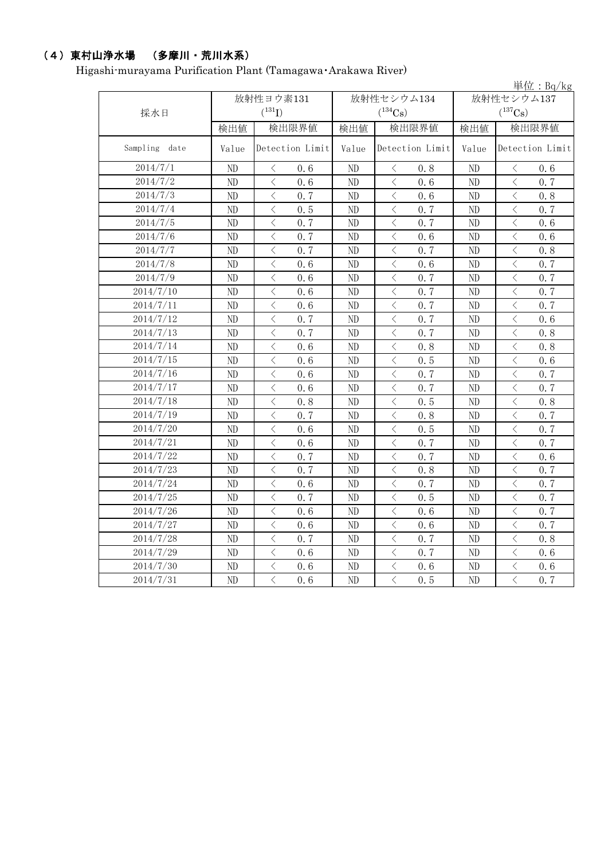## (4)東村山浄水場 (多摩川・荒川水系)

Higashi-murayama Purification Plant (Tamagawa・Arakawa River)

|               |          |                                                 |       |                                                 |          | 単位: $Bq/kg$                                      |
|---------------|----------|-------------------------------------------------|-------|-------------------------------------------------|----------|--------------------------------------------------|
|               |          | 放射性ヨウ素131                                       |       | 放射性セシウム134                                      |          | 放射性セシウム137                                       |
| 採水日           |          | $(^{131}I)$                                     |       | $(^{134}Cs)$                                    |          | $(^{137}Cs)$                                     |
|               | 検出値      | 検出限界値                                           | 検出値   | 検出限界値                                           | 検出値      | 検出限界値                                            |
| Sampling date | Value    | Detection Limit                                 | Value | Detection Limit                                 | Value    | Detection Limit                                  |
| 2014/7/1      | ND       | $\langle$<br>0.6                                | ND    | $\langle$<br>0.8                                | ND       | 0.6<br>$\lt$                                     |
| 2014/7/2      | ND       | $\langle$<br>0, 6                               | ND    | $\langle$<br>0.6                                | $\rm ND$ | 0, 7<br>$\langle$                                |
| 2014/7/3      | $\rm ND$ | $\lt$<br>0.7                                    | ND    | $\lt$<br>0.6                                    | $\rm ND$ | $\langle$<br>0.8                                 |
| 2014/7/4      | ND       | $\langle$<br>0.5                                | ND    | $\langle$<br>0.7                                | ND       | $\lt$<br>0.7                                     |
| 2014/7/5      | ND       | $\,$ $\,$ $\,$<br>0.7                           | ND    | $\lt$<br>0.7                                    | $\rm ND$ | $\langle$<br>0.6                                 |
| 2014/7/6      | ND       | $\langle$<br>0.7                                | ND    | $\lt$<br>0.6                                    | ND       | $\lt$<br>0.6                                     |
| 2014/7/7      | ND       | $\lt$<br>0.7                                    | ND    | $\lt$<br>0.7                                    | ND       | $\lt$<br>0.8                                     |
| 2014/7/8      | $\rm ND$ | $\lt$<br>0.6                                    | ND    | $\lt$<br>0.6                                    | ND       | $\lt$<br>0.7                                     |
| 2014/7/9      | ND       | $\langle$<br>0.6                                | ND    | $\lt$<br>0.7                                    | ND       | $\lt$<br>0.7                                     |
| 2014/7/10     | ND       | $\lt$<br>0.6                                    | ND    | $\langle$<br>0.7                                | ND       | $\,$ $\,$ $\,$<br>0.7                            |
| 2014/7/11     | ND       | $\lt$<br>0.6                                    | ND    | $\lt$<br>0.7                                    | ND       | $\lt$<br>0.7                                     |
| 2014/7/12     | ND       | $\overline{\left\langle \right\rangle }$<br>0.7 | ND    | $\langle$<br>0.7                                | ND       | $\overline{\left\langle \right\rangle }$<br>0.6  |
| 2014/7/13     | ND       | $\langle$<br>0.7                                | ND    | $\overline{\left\langle \right\rangle }$<br>0.7 | ND       | $\overline{\left\langle \right\rangle }$<br>0.8  |
| 2014/7/14     | ND       | $\overline{\left\langle \right\rangle }$<br>0.6 | ND    | $\langle$<br>0.8                                | ND       | $\lt$<br>0.8                                     |
| 2014/7/15     | ND       | $\langle$<br>0.6                                | ND    | $\lt$<br>0.5                                    | ND       | $\langle$<br>0.6                                 |
| 2014/7/16     | ND       | $\langle$<br>0.6                                | ND    | $\overline{\left\langle \right\rangle }$<br>0.7 | ND       | $\langle$<br>0.7                                 |
| 2014/7/17     | ND       | $\,$ $\,$ $\,$<br>0.6                           | ND    | $\langle$<br>0.7                                | ND       | $\langle$<br>0.7                                 |
| 2014/7/18     | ND       | $\overline{\left\langle \right\rangle }$<br>0.8 | ND    | $\langle$<br>0.5                                | ND       | $\langle$<br>0, 8                                |
| 2014/7/19     | ND       | $\langle$<br>0.7                                | ND    | $\lt$<br>0.8                                    | ND       | $\langle$<br>0, 7                                |
| 2014/7/20     | ND       | $\overline{\left\langle \right\rangle }$<br>0.6 | ND    | $\langle$<br>0.5                                | ND       | $\langle$<br>0.7                                 |
| 2014/7/21     | ND       | $\overline{\left\langle \right\rangle }$<br>0.6 | ND    | $\langle$<br>0.7                                | ND       | $\overline{\left\langle \right\rangle }$<br>0, 7 |
| 2014/7/22     | ND       | $\langle$<br>0.7                                | ND    | $\langle$<br>0, 7                               | ND       | $\langle$<br>0, 6                                |
| 2014/7/23     | ND       | $\langle$<br>0.7                                | ND    | $\langle$<br>0.8                                | ND       | $\overline{\left\langle \right\rangle }$<br>0.7  |
| 2014/7/24     | ND       | $\overline{\left\langle \right\rangle }$<br>0.6 | ND    | $\langle$<br>0.7                                | ND       | $\langle$<br>0.7                                 |
| 2014/7/25     | ND       | $\overline{\left\langle \right\rangle }$<br>0.7 | ND    | $\lt$<br>0.5                                    | ND       | $\langle$<br>0.7                                 |
| 2014/7/26     | ND       | $\langle$<br>0.6                                | ND    | $\langle$<br>0.6                                | ND       | $\langle$<br>0.7                                 |
| 2014/7/27     | ND       | $\lt$<br>0.6                                    | ND    | $\lt$<br>0.6                                    | ND       | $\lt$<br>0.7                                     |
| 2014/7/28     | ND       | $\lt$<br>0.7                                    | ND    | $\lt$<br>0.7                                    | ND       | $\,$ $\,$ $\,$<br>0.8                            |
| 2014/7/29     | ND       | $\langle$<br>0.6                                | ND    | $\langle$<br>0, 7                               | ND       | $\langle$<br>0.6                                 |
| 2014/7/30     | ND       | $\lt$<br>0.6                                    | ND    | $\lt$<br>0.6                                    | ND       | $\lt$<br>0.6                                     |
| 2014/7/31     | ND       | $\overline{\left\langle \right\rangle }$<br>0.6 | ND    | $\lt$<br>0.5                                    | ND       | $\langle$<br>0.7                                 |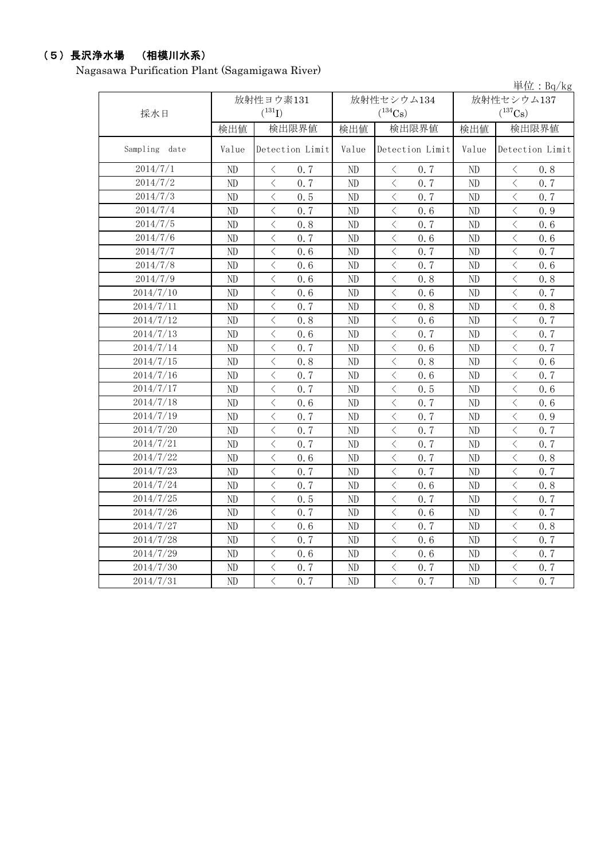## (5)長沢浄水場 (相模川水系)

Nagasawa Purification Plant (Sagamigawa River)

|               |       |                                                                                                                                                                                                                                                                                                                                                                                                                                                                                                                                                                                                                                                                                           |       |                                                 |          | $\vert \dot{\Xi} \vert \dot{\Xi}$ : Bq/kg       |
|---------------|-------|-------------------------------------------------------------------------------------------------------------------------------------------------------------------------------------------------------------------------------------------------------------------------------------------------------------------------------------------------------------------------------------------------------------------------------------------------------------------------------------------------------------------------------------------------------------------------------------------------------------------------------------------------------------------------------------------|-------|-------------------------------------------------|----------|-------------------------------------------------|
|               |       | 放射性ヨウ素131                                                                                                                                                                                                                                                                                                                                                                                                                                                                                                                                                                                                                                                                                 |       | 放射性セシウム134                                      |          | 放射性セシウム137                                      |
| 採水日           |       | $(^{131}I)$                                                                                                                                                                                                                                                                                                                                                                                                                                                                                                                                                                                                                                                                               |       | $(^{134}Cs)$                                    |          | $(^{137}\mathrm{Cs})$                           |
|               | 検出値   | 検出限界値                                                                                                                                                                                                                                                                                                                                                                                                                                                                                                                                                                                                                                                                                     | 検出値   | 検出限界値                                           | 検出値      | 検出限界値                                           |
| Sampling date | Value | Detection Limit                                                                                                                                                                                                                                                                                                                                                                                                                                                                                                                                                                                                                                                                           | Value | Detection Limit                                 | Value    | Detection Limit                                 |
| 2014/7/1      | ND    | 0, 7<br>$\lt$                                                                                                                                                                                                                                                                                                                                                                                                                                                                                                                                                                                                                                                                             | ND    | $\lt$<br>0, 7                                   | ND       | 0, 8<br>$\lt$                                   |
| 2014/7/2      | ND    | $\,$ $\,$ $\,$<br>0.7                                                                                                                                                                                                                                                                                                                                                                                                                                                                                                                                                                                                                                                                     | ND    | $\,$ $\,$ $\,$<br>0, 7                          | ND       | $\overline{\left\langle \right\rangle }$<br>0.7 |
| 2014/7/3      | ND    | $\overline{\left\langle \right. }% ,\left\langle \overline{\left\langle \right. }% ,\left\langle \overline{\left\langle \right\rangle }\right\rangle \right.$<br>0.5                                                                                                                                                                                                                                                                                                                                                                                                                                                                                                                      | ND    | $\,$ $\,$ $\,$<br>0.7                           | ND       | $\langle$<br>0.7                                |
| 2014/7/4      | ND    | $\lt$<br>0.7                                                                                                                                                                                                                                                                                                                                                                                                                                                                                                                                                                                                                                                                              | ND    | $\langle$<br>0.6                                | ND       | $\lt$<br>0.9                                    |
| 2014/7/5      | ND    | $\overline{\left\langle \right\rangle }$<br>0.8                                                                                                                                                                                                                                                                                                                                                                                                                                                                                                                                                                                                                                           | ND    | $\,<\,$<br>0.7                                  | ND       | $\langle$<br>0.6                                |
| 2014/7/6      | ND    | $\langle$<br>0.7                                                                                                                                                                                                                                                                                                                                                                                                                                                                                                                                                                                                                                                                          | ND    | $\langle$<br>0.6                                | $\rm ND$ | $\langle$<br>0.6                                |
| 2014/7/7      | ND    | $\overline{\left\langle \right\rangle }$<br>0.6                                                                                                                                                                                                                                                                                                                                                                                                                                                                                                                                                                                                                                           | ND    | $\,$ $\,$ $\,$<br>0.7                           | ND       | $\lt$<br>0.7                                    |
| 2014/7/8      | ND    | $\langle$<br>0.6                                                                                                                                                                                                                                                                                                                                                                                                                                                                                                                                                                                                                                                                          | ND    | $\, < \,$<br>0.7                                | $\rm ND$ | $\langle$<br>0.6                                |
| 2014/7/9      | ND    | $\overline{\left\langle \right\rangle }$<br>0.6                                                                                                                                                                                                                                                                                                                                                                                                                                                                                                                                                                                                                                           | ND    | $\langle$<br>0.8                                | ND       | $\langle$<br>0.8                                |
| 2014/7/10     | ND    | $\overline{\left\langle \right. }% ,\left\langle \overline{\left\langle \right. }% ,\left\langle \overline{\left\langle \right\rangle }\right\rangle \right.$<br>0.6                                                                                                                                                                                                                                                                                                                                                                                                                                                                                                                      | ND    | $\, < \,$<br>0.6                                | ND       | $\langle$<br>0.7                                |
| 2014/7/11     | ND    | $\overline{\left\langle \right\rangle }$<br>0.7                                                                                                                                                                                                                                                                                                                                                                                                                                                                                                                                                                                                                                           | ND    | $\langle$<br>0.8                                | ND       | $\langle$<br>0.8                                |
| 2014/7/12     | ND    | $\overline{\left\langle \right\rangle }$<br>0.8                                                                                                                                                                                                                                                                                                                                                                                                                                                                                                                                                                                                                                           | ND    | $\,$ $\,$ $\,$<br>0.6                           | $\rm ND$ | $\langle$<br>0.7                                |
| 2014/7/13     | ND    | $\overline{\left\langle \right\rangle }$<br>0.6                                                                                                                                                                                                                                                                                                                                                                                                                                                                                                                                                                                                                                           | ND    | $\,<\,$<br>0.7                                  | $\rm ND$ | $\lt$<br>0.7                                    |
| 2014/7/14     | ND    | $\overline{\left\langle \right\rangle }$<br>0.7                                                                                                                                                                                                                                                                                                                                                                                                                                                                                                                                                                                                                                           | ND    | $\,$ $\,$ $\,$<br>0.6                           | ND       | $\langle$<br>0.7                                |
| 2014/7/15     | ND    | $\overline{\left\langle \right\rangle }$<br>0.8                                                                                                                                                                                                                                                                                                                                                                                                                                                                                                                                                                                                                                           | ND    | $\lt$<br>0.8                                    | ND       | $\langle$<br>0.6                                |
| 2014/7/16     | ND    | $\overline{\left\langle \right\rangle }$<br>0.7                                                                                                                                                                                                                                                                                                                                                                                                                                                                                                                                                                                                                                           | ND    | $\lt$<br>0.6                                    | ND       | $\overline{\left\langle \right\rangle }$<br>0.7 |
| 2014/7/17     | ND    | $\overline{\left\langle \right\rangle }$<br>0.7                                                                                                                                                                                                                                                                                                                                                                                                                                                                                                                                                                                                                                           | ND    | $\overline{\left\langle \right\rangle }$<br>0.5 | $\rm ND$ | $\overline{\left\langle \right\rangle }$<br>0.6 |
| 2014/7/18     | ND    | $\overline{\left\langle \right\rangle }$<br>0.6                                                                                                                                                                                                                                                                                                                                                                                                                                                                                                                                                                                                                                           | ND    | $\lt$<br>0.7                                    | ND       | $\overline{\left\langle \right\rangle }$<br>0.6 |
| 2014/7/19     | ND    | $\overline{\left\langle \right\rangle }$<br>0.7                                                                                                                                                                                                                                                                                                                                                                                                                                                                                                                                                                                                                                           | ND    | $\, < \,$<br>0.7                                | ND       | $\langle$<br>0.9                                |
| 2014/7/20     | ND    | $\overline{\left\langle \right\rangle }$<br>0.7                                                                                                                                                                                                                                                                                                                                                                                                                                                                                                                                                                                                                                           | ND    | $\,$ $\,$ $\,$<br>0.7                           | ND       | $\overline{\left\langle \right\rangle }$<br>0.7 |
| 2014/7/21     | ND    | $\overline{\left\langle \right\rangle }$<br>0.7                                                                                                                                                                                                                                                                                                                                                                                                                                                                                                                                                                                                                                           | ND    | $\,$ $\,$ $\,$<br>0.7                           | ND       | $\langle$<br>0.7                                |
| 2014/7/22     | ND    | $\overline{\left\langle \right. }% ,\left\langle \overline{\left\langle \right. }\right\rangle _{0}\right\langle \left. \overline{\left\langle \right. }\right\rangle _{0}\left\langle \overline{\left\langle \right. }\right\rangle _{0}\left\langle \overline{\left\langle \right. }\right\rangle _{0}\left\langle \overline{\left\langle \right. }\right\rangle _{0}\left\langle \overline{\left\langle \right. }\right\rangle _{0}\left\langle \overline{\left\langle \right. }\right\rangle _{0}\left\langle \overline{\left\langle \right. }\right\rangle _{0}\left\langle \overline{\left\langle \right. }\right\rangle _{0}\left\langle \overline{\left\langle \right. }\$<br>0.6 | ND    | $\langle$<br>0.7                                | ND       | $\langle$<br>0.8                                |
| 2014/7/23     | ND    | $\overline{\left\langle \right\rangle }$<br>0.7                                                                                                                                                                                                                                                                                                                                                                                                                                                                                                                                                                                                                                           | ND    | $\, < \,$<br>0.7                                | ND       | $\overline{\left\langle \right\rangle }$<br>0.7 |
| 2014/7/24     | ND    | $\overline{\left\langle \right\rangle }$<br>0.7                                                                                                                                                                                                                                                                                                                                                                                                                                                                                                                                                                                                                                           | ND    | $\, < \,$<br>0.6                                | ND       | $\overline{\left\langle \right\rangle }$<br>0.8 |
| 2014/7/25     | ND    | $\overline{\left\langle \right\rangle }$<br>0.5                                                                                                                                                                                                                                                                                                                                                                                                                                                                                                                                                                                                                                           | ND    | $\langle$<br>0.7                                | ND       | $\langle$<br>0.7                                |
| 2014/7/26     | ND    | $\overline{\left\langle \right\rangle }$<br>0.7                                                                                                                                                                                                                                                                                                                                                                                                                                                                                                                                                                                                                                           | ND    | $\,$ $\,$ $\,$<br>0.6                           | ND       | $\overline{\langle}$<br>0.7                     |
| 2014/7/27     | ND    | $\overline{\left\langle \right. }% ,\left\langle \overline{\left\langle \right. }\right\rangle _{0}\right\langle \left. \overline{\left\langle \right. }\right\rangle _{0}\left\langle \overline{\left\langle \right. }\right\rangle _{0}\left\langle \overline{\left\langle \right. }\right\rangle _{0}\left\langle \overline{\left\langle \right. }\right\rangle _{0}\left\langle \overline{\left\langle \right. }\right\rangle _{0}\left\langle \overline{\left\langle \right. }\right\rangle _{0}\left\langle \overline{\left\langle \right. }\right\rangle _{0}\left\langle \overline{\left\langle \right. }\right\rangle _{0}\left\langle \overline{\left\langle \right. }\$<br>0.6 | ND    | $\, <\,$<br>0.7                                 | ND       | $\, <\,$<br>0.8                                 |
| 2014/7/28     | ND    | $\overline{\left\langle \right\rangle }$<br>0.7                                                                                                                                                                                                                                                                                                                                                                                                                                                                                                                                                                                                                                           | ND    | $\,$ $\,$ $\,$<br>0.6                           | ND       | $\langle$<br>0.7                                |
| 2014/7/29     | ND    | $\overline{\left\langle \right\rangle }$<br>0.6                                                                                                                                                                                                                                                                                                                                                                                                                                                                                                                                                                                                                                           | ND    | $\langle$<br>0.6                                | ND       | $\overline{\left\langle \right\rangle }$<br>0.7 |
| 2014/7/30     | ND    | $\overline{\left\langle \right. }% ,\left\langle \overline{\left\langle \right. }% ,\left\langle \overline{\left\langle \right\rangle }\right\rangle \right.$<br>0.7                                                                                                                                                                                                                                                                                                                                                                                                                                                                                                                      | ND    | $\,<\,$<br>0.7                                  | ND       | $\langle$<br>0.7                                |
| 2014/7/31     | ND    | $\overline{\langle}$<br>0.7                                                                                                                                                                                                                                                                                                                                                                                                                                                                                                                                                                                                                                                               | ND    | $\overline{\left\langle \right\rangle }$<br>0.7 | ND       | $\overline{\langle}$<br>0.7                     |